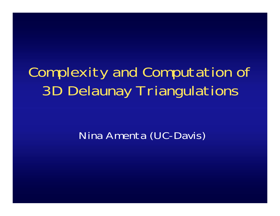## Complexity and Computation of 3D Delaunay Triangulations

#### Nina Amenta (UC-Davis)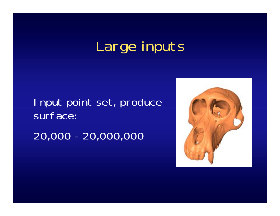## Large inputs

Input point set, produce surface: 20,000 - 20,000,000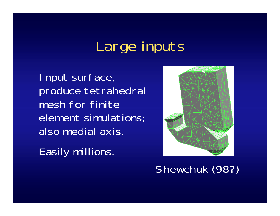## Large inputs

Input surface, produce tetrahedral mesh for finite element simulations; also medial axis.

Easily millions.



Shewchuk (98?)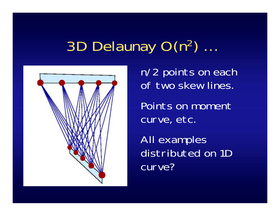## 3D Delaunay O(n 2) …



n/2 points on each of two skew lines.

Points on moment curve, etc.

All examples distributed on 1D curve?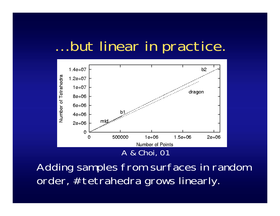### … but linear in practice.



Adding samples from surfaces in random order, #tetrahedra grows linearly.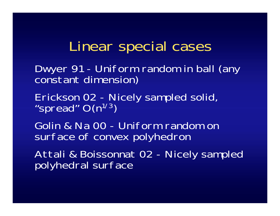### Linear special cases

Dwyer 91 - Uniform random in ball (any constant dimension)

Erickson 02 - Nicely sampled solid,<br>"spread" O(n<sup>1/3</sup>)

Golin & Na 00 - Uniform random on surface of convex polyhedron

Attali & Boissonnat 02 - Nicely sampled polyhedral surface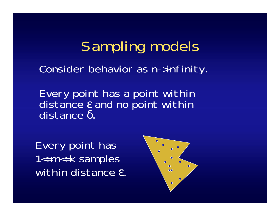Sampling models Consider behavior as n->infinity.

Every point has a point within distance ε and no point within distance δ.

Every point has 1<=m<=k samples within distance ε.

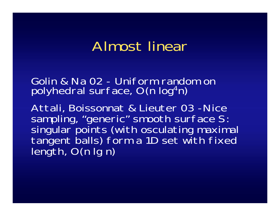### Almost linear

Golin & Na 02 - Uniform random on polyhedral surface, O(n log 4n)

Attali, Boissonnat & Lieuter 03 -Nice sampling, "generic" smooth surface S:<br>singular points (with osculating maximal<br>tangent balls) form a 1D set with fixed<br>length, O(n lg n)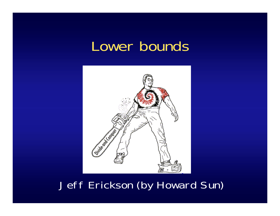#### Lower bounds



#### Jeff Erickson (by Howard Sun)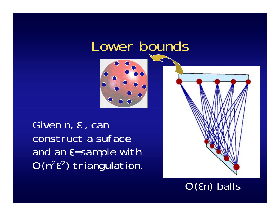#### Lower bounds



Given n, <sup>ε</sup>, can construct a suface and an ε−sample with  $O(n^2 \epsilon^2)$  triangulation.



O( εn) balls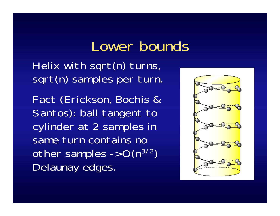### Lower bounds

Helix with sqrt(n) turns, sqrt(n) samples per turn.

Fact (Erickson, Bochis & Santos): ball tangent to cylinder at 2 samples in same turn contains no other samples  $\rightarrow$  O(n<sup>3/2</sup>) Delaunay edges.

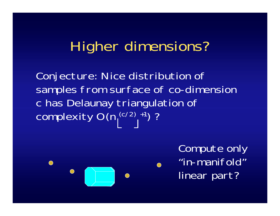## Higher dimensions?

Conjecture: Nice distribution of samples from surface of co-dimension c has Delaunay triangulation of complexity  $O(n_1^{\left(c/2\right)}+1)$ ?



Compute only "in-manifold" linear part?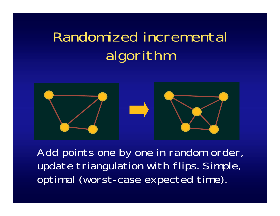# Randomized incremental algorithm



Add points one by one in random order, update triangulation with flips. Simple, optimal (worst-case expected time).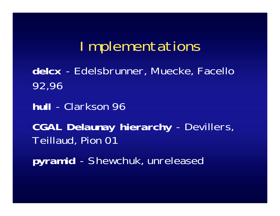#### Implementations

**delcx** - Edelsbrunner, Muecke, Facello 92,96

**hull** - Clarkson 96

**CGAL Delaunay hierarchy** - Devillers, Teillaud, Pion 01

**pyramid** - Shewchuk, unreleased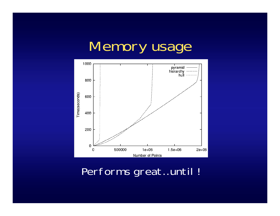## Memory usage



Performs great…until !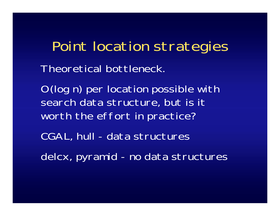Point location strategies Theoretical bottleneck.

O(log n) per location possible with search data structure, but is it worth the effort in practice?

CGAL, hull - data structures

delcx, pyramid - no data structures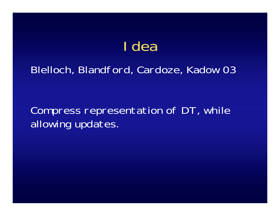## Idea

#### Blelloch, Blandford, Cardoze, Kadow 03

#### Compress representation of DT, while allowing updates.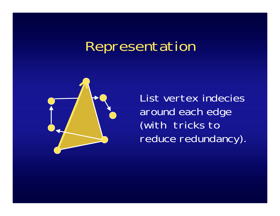## Representation



List vertex indecies around each edge (with tricks to reduce redundancy).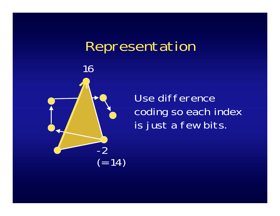#### Representation



Use difference coding so each index is just a few bits.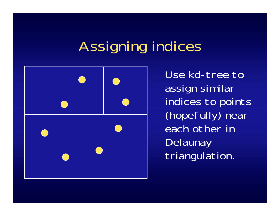## Assigning indices



Use kd-tree to assign similar indices to points (hopefully) near each other in **Delaunay** triangulation.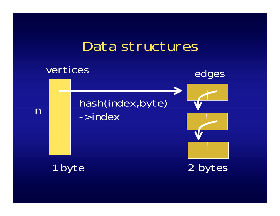### Data structures

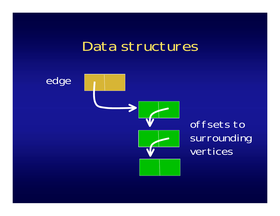#### Data structures



offsets to surrounding vertices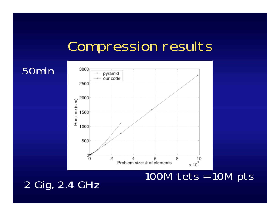## Compression results



100M tets = 10M pts

#### 2 Gig, 2.4 GHz

50min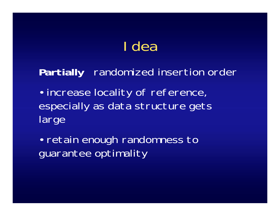## Idea

#### **Partially** randomized insertion order

• increase locality of reference, especially as data structure gets large

 $\bullet$  retain enough randomness to guarantee optimality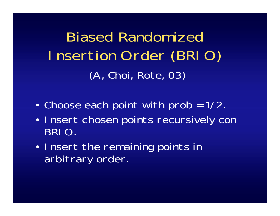Biased Randomized Insertion Order (BRIO) (A, Choi, Rote, 03)

- $\bullet$ Choose each point with prob = 1/2.
- $\bullet$  Insert chosen points recursively con BRIO.
- • Insert the remaining points in arbitrary order.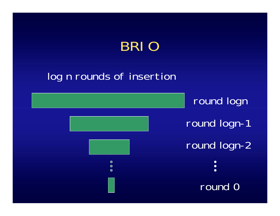## BRI C

#### log n rounds of insertion

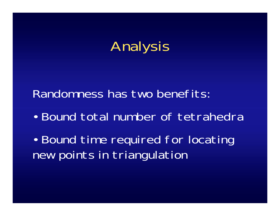

Randomness has two benefits:

 $\bullet$ Bound total number of tetrahedra

 $\bullet$  Bound time required for locating new points in triangulation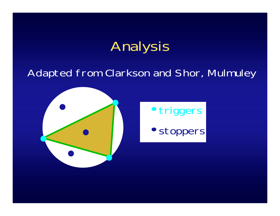## Analysis

#### Adapted from Clarkson and Shor, Mulmuley





• stoppers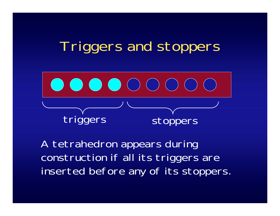### Triggers and stoppers



A tetrahedron appears during construction if all its triggers are inserted before any of its stoppers.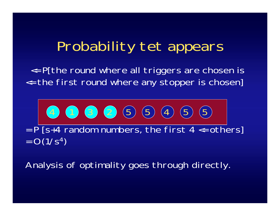### Probability tet appears

<= P[the round where all triggers are chosen is <= the first round where any stopper is chosen]

$$
= P[s+4 \text{ random numbers, the first 4} < 0.06]
$$

$$
= O(1/s4)
$$

Analysis of optimality goes through directly.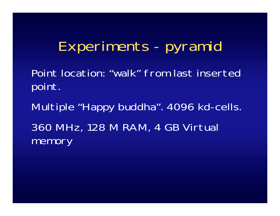## Experiments - pyramid

Point location: "walk" from last inserted point.

Multiple "Happy buddha". 4096 kd-cells. 360 MHz, 128 M RAM, 4 GB Virtual memory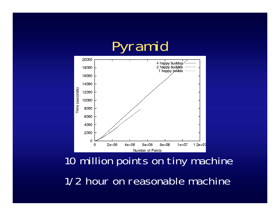## Pyramid



10 million points on tiny machine 1/2 hour on reasonable machine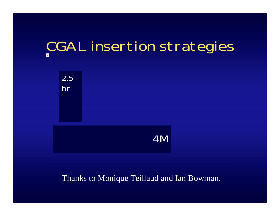

#### Thanks to Monique Teillaud and Ian Bowman.